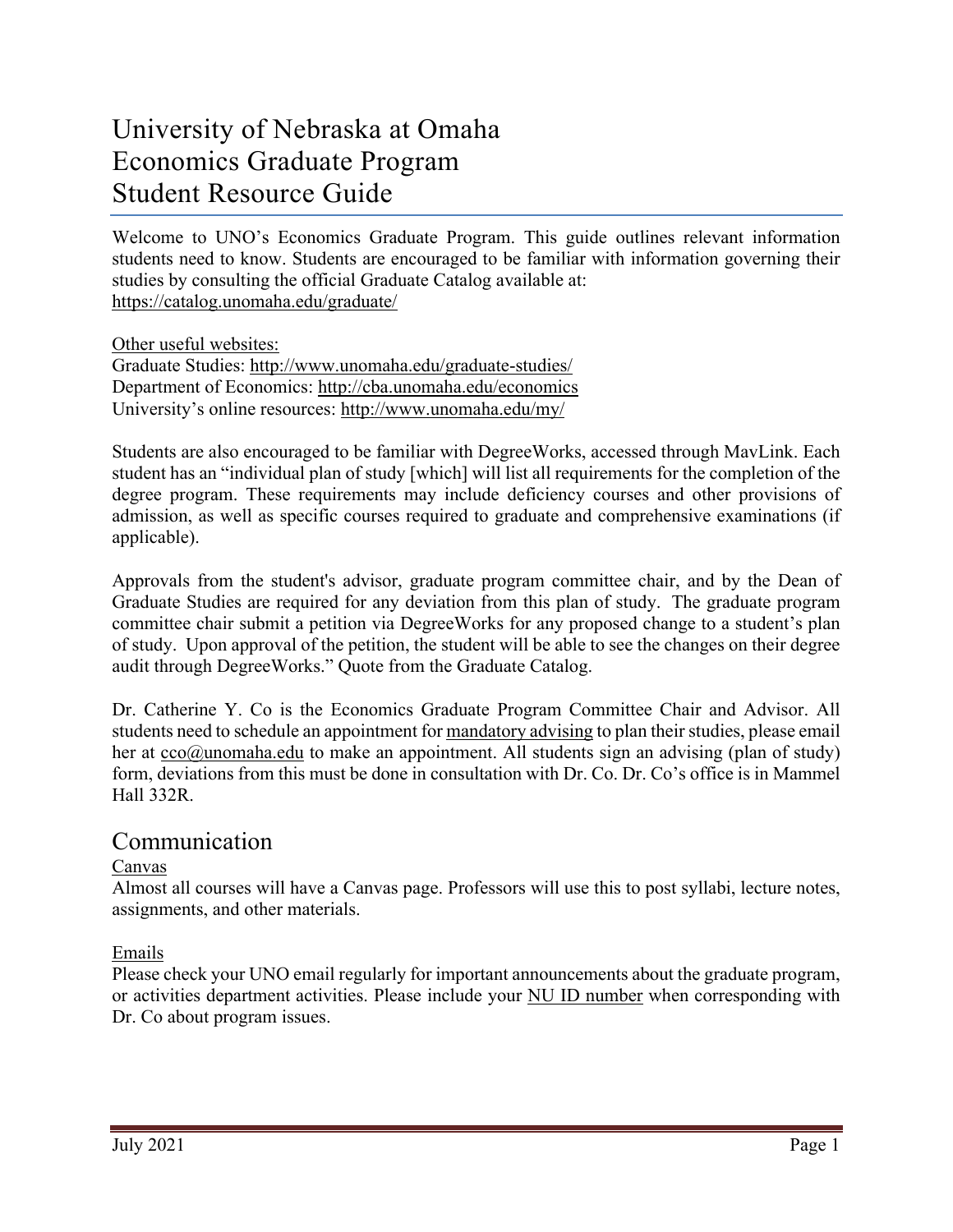# University of Nebraska at Omaha Economics Graduate Program Student Resource Guide

Welcome to UNO's Economics Graduate Program. This guide outlines relevant information students need to know. Students are encouraged to be familiar with information governing their studies by consulting the official Graduate Catalog available at: <https://catalog.unomaha.edu/graduate/>

Other useful websites: Graduate Studies: <http://www.unomaha.edu/graduate-studies/> Department of Economics: <http://cba.unomaha.edu/economics> University's online resources:<http://www.unomaha.edu/my/>

Students are also encouraged to be familiar with DegreeWorks, accessed through MavLink. Each student has an "individual plan of study [which] will list all requirements for the completion of the degree program. These requirements may include deficiency courses and other provisions of admission, as well as specific courses required to graduate and comprehensive examinations (if applicable).

Approvals from the student's advisor, graduate program committee chair, and by the Dean of Graduate Studies are required for any deviation from this plan of study. The graduate program committee chair submit a petition via DegreeWorks for any proposed change to a student's plan of study. Upon approval of the petition, the student will be able to see the changes on their degree audit through DegreeWorks." Quote from the Graduate Catalog.

Dr. Catherine Y. Co is the Economics Graduate Program Committee Chair and Advisor. All students need to schedule an appointment for mandatory advising to plan their studies, please email her at  $cco@$ unomaha.edu to make an appointment. All students sign an advising (plan of study) form, deviations from this must be done in consultation with Dr. Co. Dr. Co's office is in Mammel Hall 332R.

## Communication

## Canvas

Almost all courses will have a Canvas page. Professors will use this to post syllabi, lecture notes, assignments, and other materials.

## Emails

Please check your UNO email regularly for important announcements about the graduate program, or activities department activities. Please include your NU ID number when corresponding with Dr. Co about program issues.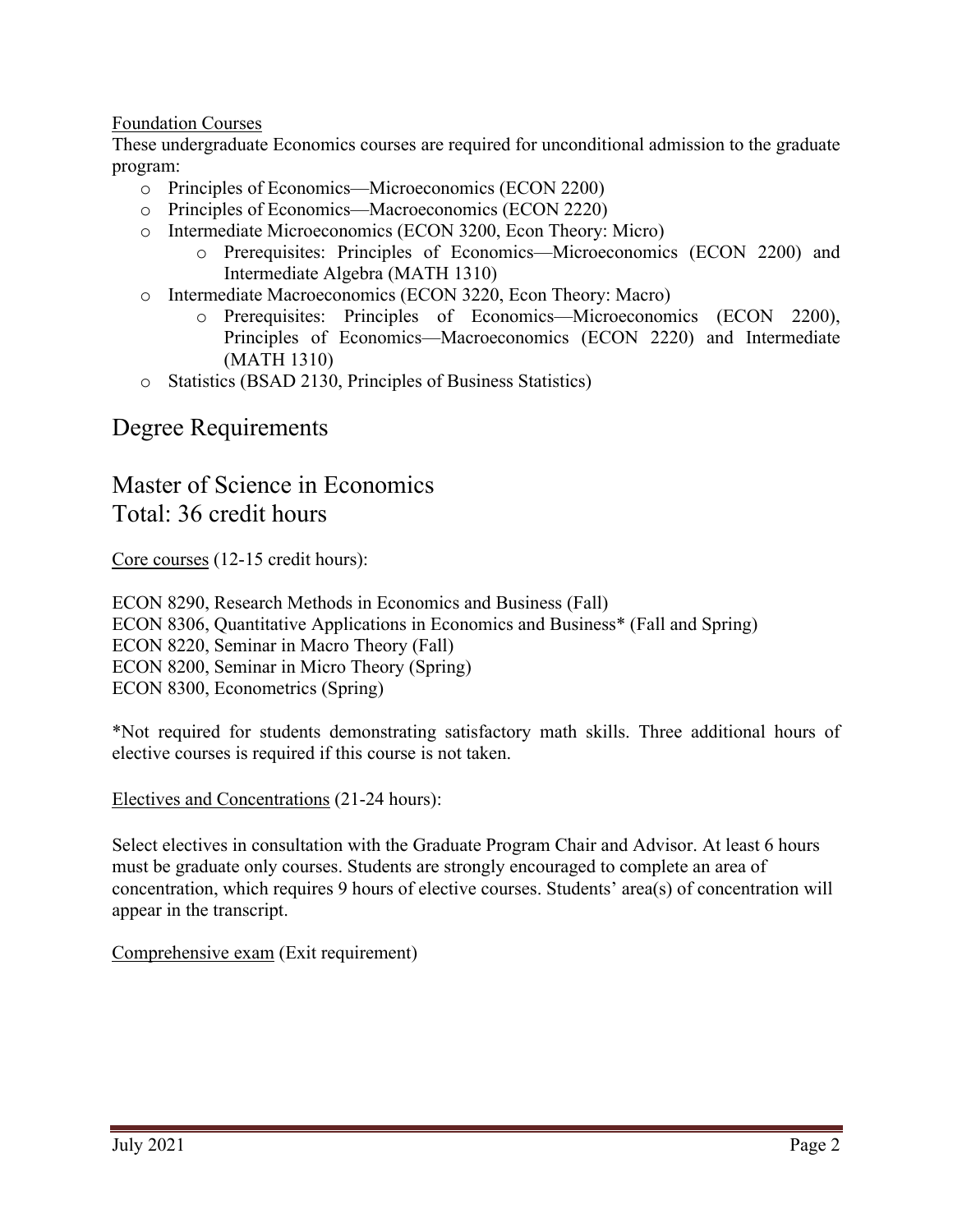### Foundation Courses

These undergraduate Economics courses are required for unconditional admission to the graduate program:

- o Principles of Economics—Microeconomics (ECON 2200)
- o Principles of Economics—Macroeconomics (ECON 2220)
- o Intermediate Microeconomics (ECON 3200, Econ Theory: Micro)
	- o Prerequisites: Principles of Economics—Microeconomics (ECON 2200) and Intermediate Algebra (MATH 1310)
- o Intermediate Macroeconomics (ECON 3220, Econ Theory: Macro)
	- o Prerequisites: Principles of Economics—Microeconomics (ECON 2200), Principles of Economics—Macroeconomics (ECON 2220) and Intermediate (MATH 1310)
- o Statistics (BSAD 2130, Principles of Business Statistics)

## Degree Requirements

## Master of Science in Economics Total: 36 credit hours

Core courses (12-15 credit hours):

ECON 8290, Research Methods in Economics and Business (Fall) ECON 8306, Quantitative Applications in Economics and Business\* (Fall and Spring) ECON 8220, Seminar in Macro Theory (Fall) ECON 8200, Seminar in Micro Theory (Spring) ECON 8300, Econometrics (Spring)

\*Not required for students demonstrating satisfactory math skills. Three additional hours of elective courses is required if this course is not taken.

Electives and Concentrations (21-24 hours):

Select electives in consultation with the Graduate Program Chair and Advisor. At least 6 hours must be graduate only courses. Students are strongly encouraged to complete an area of concentration, which requires 9 hours of elective courses. Students' area(s) of concentration will appear in the transcript.

Comprehensive exam (Exit requirement)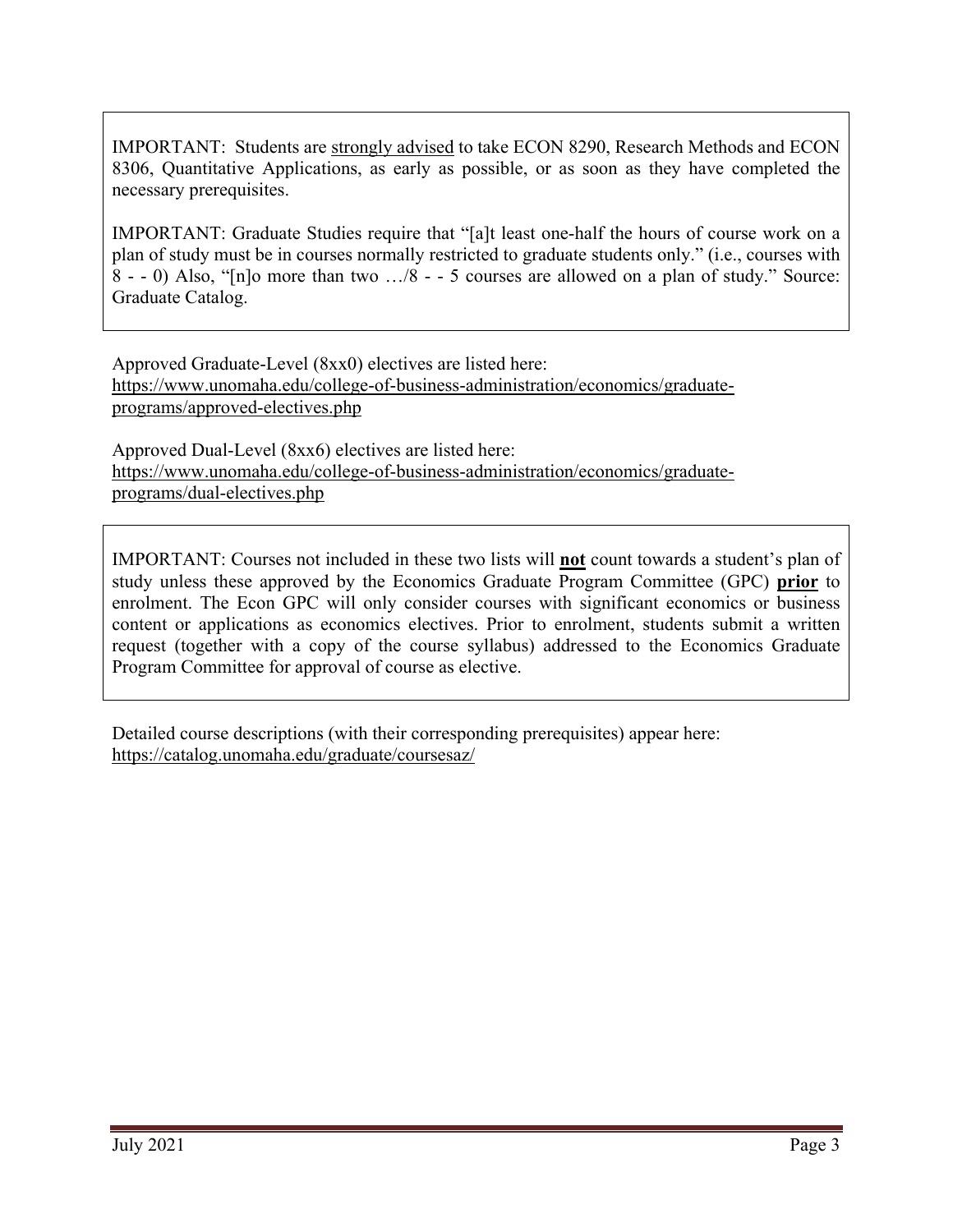IMPORTANT: Students are strongly advised to take ECON 8290, Research Methods and ECON 8306, Quantitative Applications, as early as possible, or as soon as they have completed the necessary prerequisites.

IMPORTANT: Graduate Studies require that "[a]t least one-half the hours of course work on a plan of study must be in courses normally restricted to graduate students only." (i.e., courses with 8 - - 0) Also, "[n]o more than two …/8 - - 5 courses are allowed on a plan of study." Source: Graduate Catalog.

Approved Graduate-Level (8xx0) electives are listed here: [https://www.unomaha.edu/college-of-business-administration/economics/graduate](https://www.unomaha.edu/college-of-business-administration/economics/graduate-programs/approved-electives.php)[programs/approved-electives.php](https://www.unomaha.edu/college-of-business-administration/economics/graduate-programs/approved-electives.php)

Approved Dual-Level (8xx6) electives are listed here: [https://www.unomaha.edu/college-of-business-administration/economics/graduate](https://www.unomaha.edu/college-of-business-administration/economics/graduate-programs/dual-electives.php)[programs/dual-electives.php](https://www.unomaha.edu/college-of-business-administration/economics/graduate-programs/dual-electives.php)

IMPORTANT: Courses not included in these two lists will **not** count towards a student's plan of study unless these approved by the Economics Graduate Program Committee (GPC) **prior** to enrolment. The Econ GPC will only consider courses with significant economics or business content or applications as economics electives. Prior to enrolment, students submit a written request (together with a copy of the course syllabus) addressed to the Economics Graduate Program Committee for approval of course as elective.

Detailed course descriptions (with their corresponding prerequisites) appear here: <https://catalog.unomaha.edu/graduate/coursesaz/>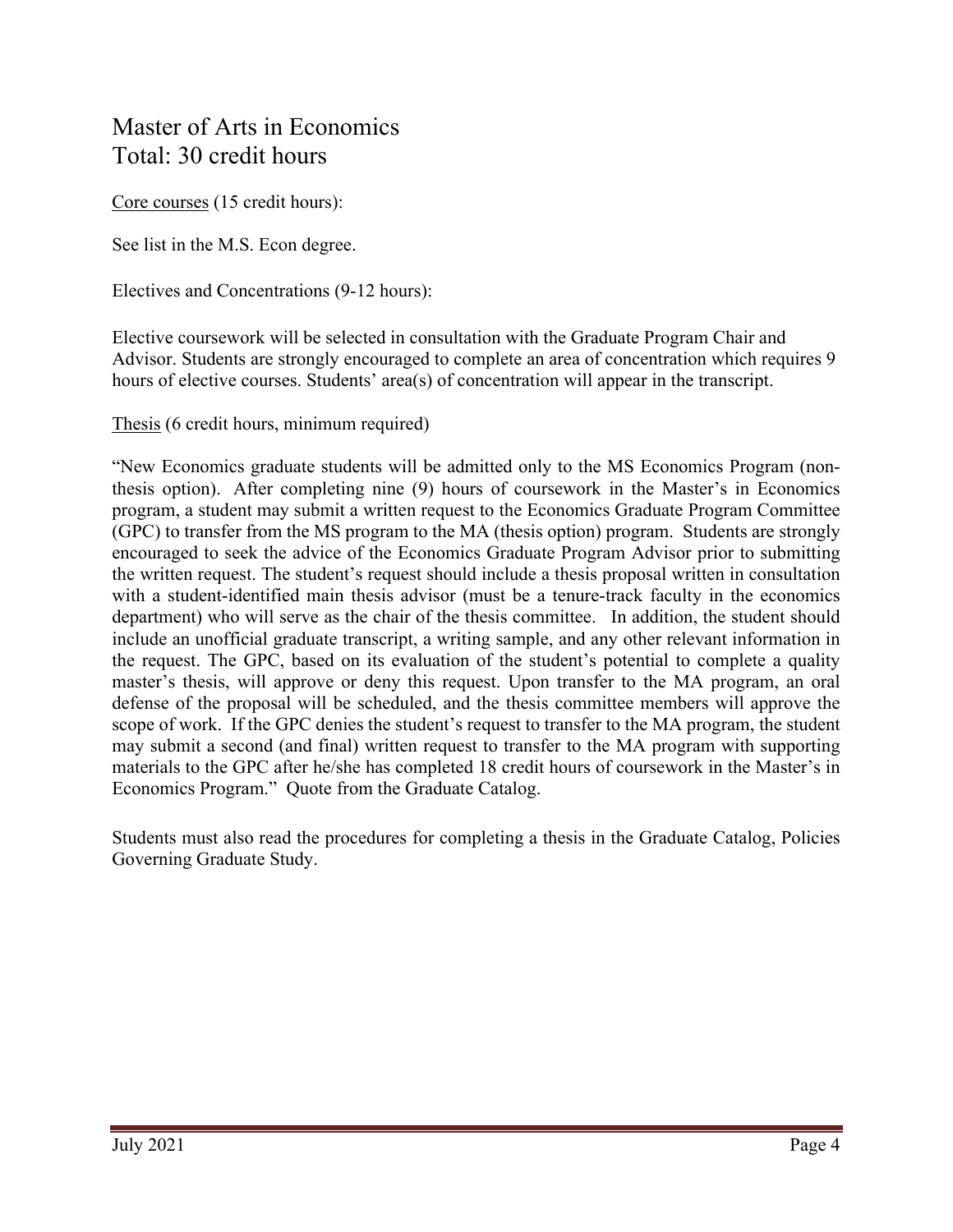## Master of Arts in Economics Total: 30 credit hours

Core courses (15 credit hours):

See list in the M.S. Econ degree.

Electives and Concentrations (9-12 hours):

Elective coursework will be selected in consultation with the Graduate Program Chair and Advisor. Students are strongly encouraged to complete an area of concentration which requires 9 hours of elective courses. Students' area(s) of concentration will appear in the transcript.

Thesis (6 credit hours, minimum required)

"New Economics graduate students will be admitted only to the MS Economics Program (nonthesis option). After completing nine (9) hours of coursework in the Master's in Economics program, a student may submit a written request to the Economics Graduate Program Committee (GPC) to transfer from the MS program to the MA (thesis option) program. Students are strongly encouraged to seek the advice of the Economics Graduate Program Advisor prior to submitting the written request. The student's request should include a thesis proposal written in consultation with a student-identified main thesis advisor (must be a tenure-track faculty in the economics department) who will serve as the chair of the thesis committee. In addition, the student should include an unofficial graduate transcript, a writing sample, and any other relevant information in the request. The GPC, based on its evaluation of the student's potential to complete a quality master's thesis, will approve or deny this request. Upon transfer to the MA program, an oral defense of the proposal will be scheduled, and the thesis committee members will approve the scope of work. If the GPC denies the student's request to transfer to the MA program, the student may submit a second (and final) written request to transfer to the MA program with supporting materials to the GPC after he/she has completed 18 credit hours of coursework in the Master's in Economics Program." Quote from the Graduate Catalog.

Students must also read the procedures for completing a thesis in the Graduate Catalog, Policies Governing Graduate Study.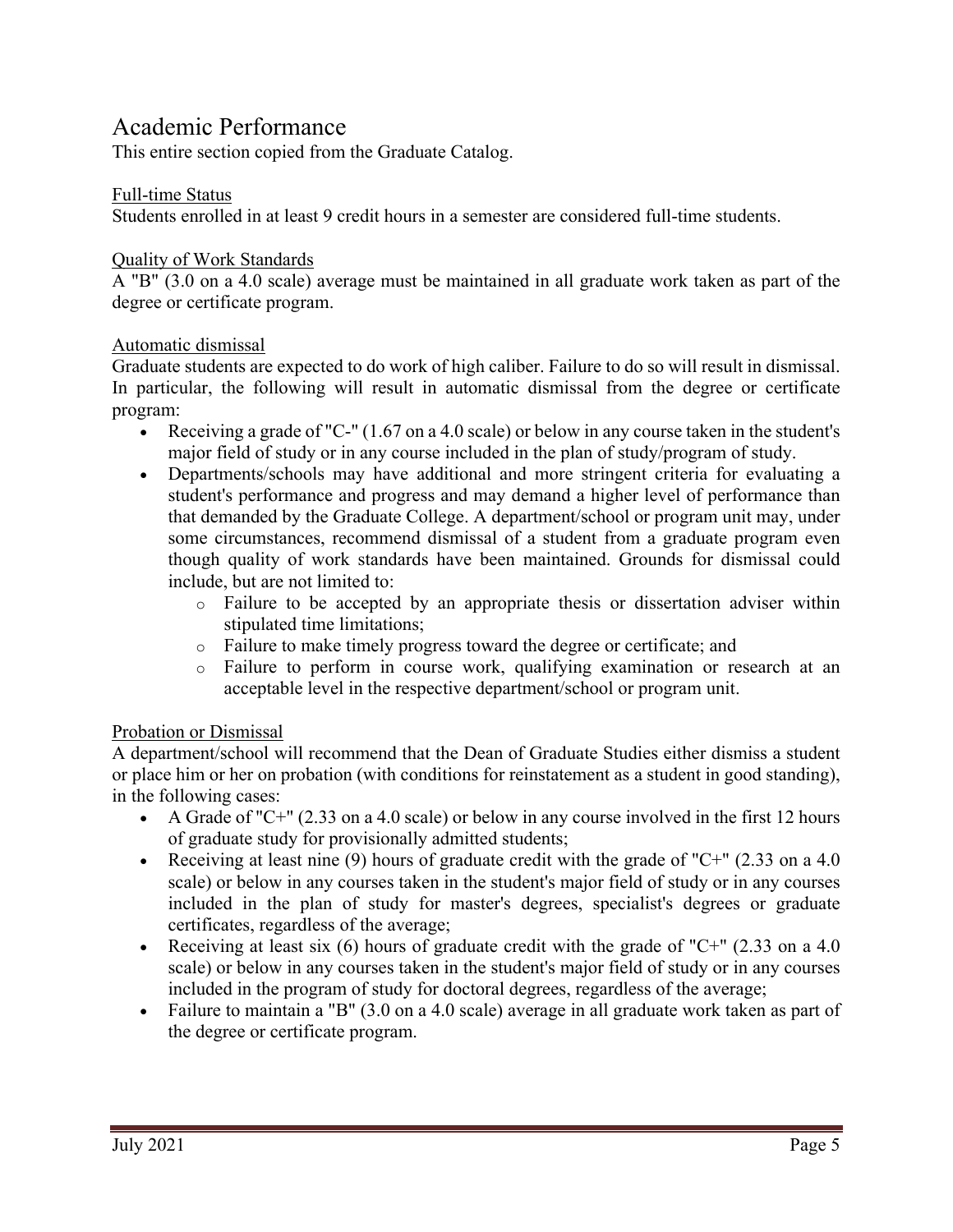## Academic Performance

This entire section copied from the Graduate Catalog.

#### Full-time Status

Students enrolled in at least 9 credit hours in a semester are considered full-time students.

#### Quality of Work Standards

A "B" (3.0 on a 4.0 scale) average must be maintained in all graduate work taken as part of the degree or certificate program.

#### Automatic dismissal

Graduate students are expected to do work of high caliber. Failure to do so will result in dismissal. In particular, the following will result in automatic dismissal from the degree or certificate program:

- Receiving a grade of "C-" (1.67 on a 4.0 scale) or below in any course taken in the student's major field of study or in any course included in the plan of study/program of study.
- Departments/schools may have additional and more stringent criteria for evaluating a student's performance and progress and may demand a higher level of performance than that demanded by the Graduate College. A department/school or program unit may, under some circumstances, recommend dismissal of a student from a graduate program even though quality of work standards have been maintained. Grounds for dismissal could include, but are not limited to:
	- o Failure to be accepted by an appropriate thesis or dissertation adviser within stipulated time limitations;
	- o Failure to make timely progress toward the degree or certificate; and
	- o Failure to perform in course work, qualifying examination or research at an acceptable level in the respective department/school or program unit.

### Probation or Dismissal

A department/school will recommend that the Dean of Graduate Studies either dismiss a student or place him or her on probation (with conditions for reinstatement as a student in good standing), in the following cases:

- A Grade of "C+"  $(2.33 \text{ on a } 4.0 \text{ scale})$  or below in any course involved in the first 12 hours of graduate study for provisionally admitted students;
- Receiving at least nine (9) hours of graduate credit with the grade of "C+"  $(2.33 \text{ on a } 4.0)$ scale) or below in any courses taken in the student's major field of study or in any courses included in the plan of study for master's degrees, specialist's degrees or graduate certificates, regardless of the average;
- Receiving at least six  $(6)$  hours of graduate credit with the grade of "C+"  $(2.33 \text{ on a } 4.0)$ scale) or below in any courses taken in the student's major field of study or in any courses included in the program of study for doctoral degrees, regardless of the average;
- Failure to maintain a "B" (3.0 on a 4.0 scale) average in all graduate work taken as part of the degree or certificate program.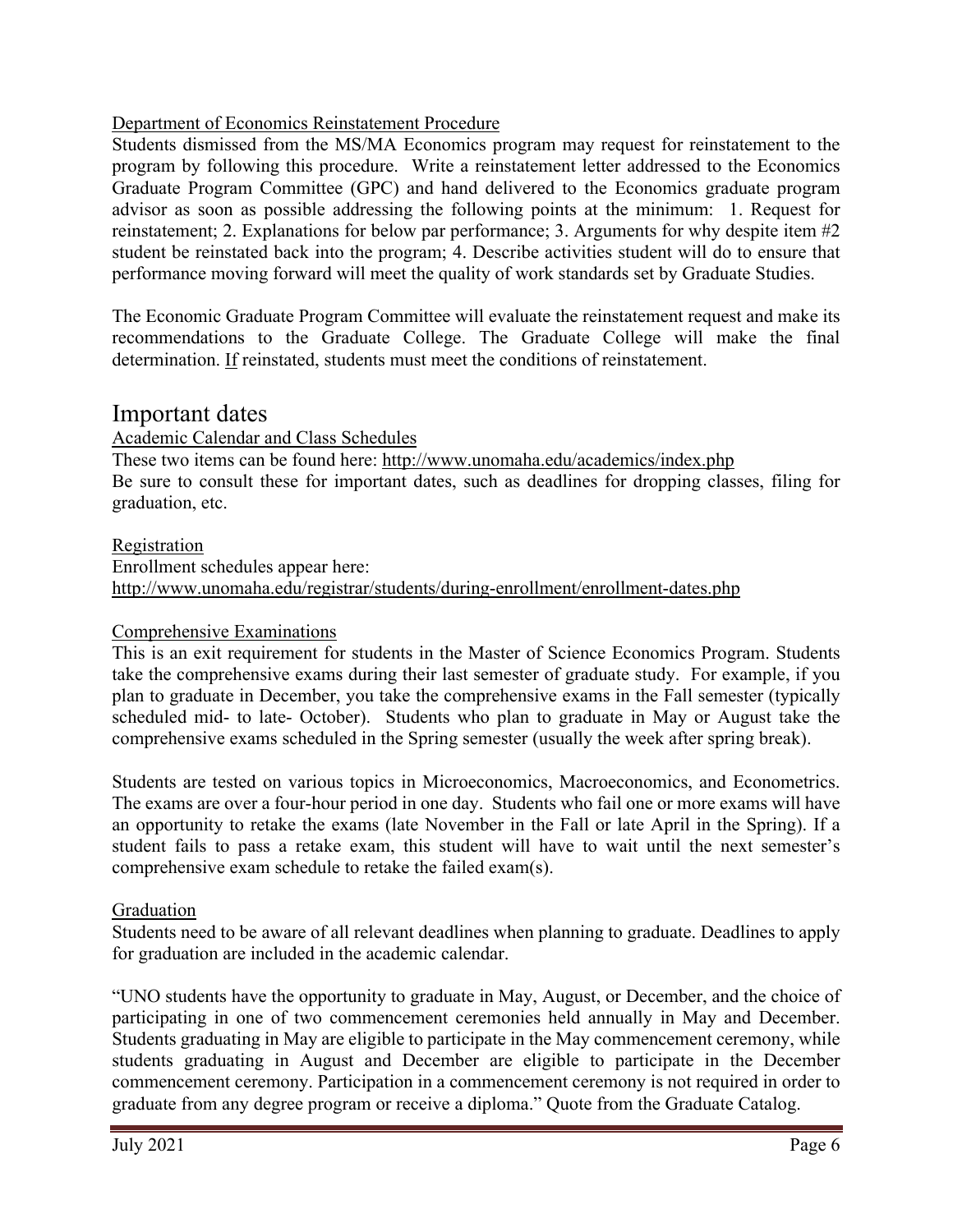### Department of Economics Reinstatement Procedure

Students dismissed from the MS/MA Economics program may request for reinstatement to the program by following this procedure. Write a reinstatement letter addressed to the Economics Graduate Program Committee (GPC) and hand delivered to the Economics graduate program advisor as soon as possible addressing the following points at the minimum: 1. Request for reinstatement; 2. Explanations for below par performance; 3. Arguments for why despite item #2 student be reinstated back into the program; 4. Describe activities student will do to ensure that performance moving forward will meet the quality of work standards set by Graduate Studies.

The Economic Graduate Program Committee will evaluate the reinstatement request and make its recommendations to the Graduate College. The Graduate College will make the final determination. If reinstated, students must meet the conditions of reinstatement.

## Important dates

### Academic Calendar and Class Schedules

These two items can be found here:<http://www.unomaha.edu/academics/index.php> Be sure to consult these for important dates, such as deadlines for dropping classes, filing for graduation, etc.

### Registration

Enrollment schedules appear here: <http://www.unomaha.edu/registrar/students/during-enrollment/enrollment-dates.php>

### Comprehensive Examinations

This is an exit requirement for students in the Master of Science Economics Program. Students take the comprehensive exams during their last semester of graduate study. For example, if you plan to graduate in December, you take the comprehensive exams in the Fall semester (typically scheduled mid- to late- October). Students who plan to graduate in May or August take the comprehensive exams scheduled in the Spring semester (usually the week after spring break).

Students are tested on various topics in Microeconomics, Macroeconomics, and Econometrics. The exams are over a four-hour period in one day. Students who fail one or more exams will have an opportunity to retake the exams (late November in the Fall or late April in the Spring). If a student fails to pass a retake exam, this student will have to wait until the next semester's comprehensive exam schedule to retake the failed exam(s).

### Graduation

Students need to be aware of all relevant deadlines when planning to graduate. Deadlines to apply for graduation are included in the academic calendar.

"UNO students have the opportunity to graduate in May, August, or December, and the choice of participating in one of two commencement ceremonies held annually in May and December. Students graduating in May are eligible to participate in the May commencement ceremony, while students graduating in August and December are eligible to participate in the December commencement ceremony. Participation in a commencement ceremony is not required in order to graduate from any degree program or receive a diploma." Quote from the Graduate Catalog.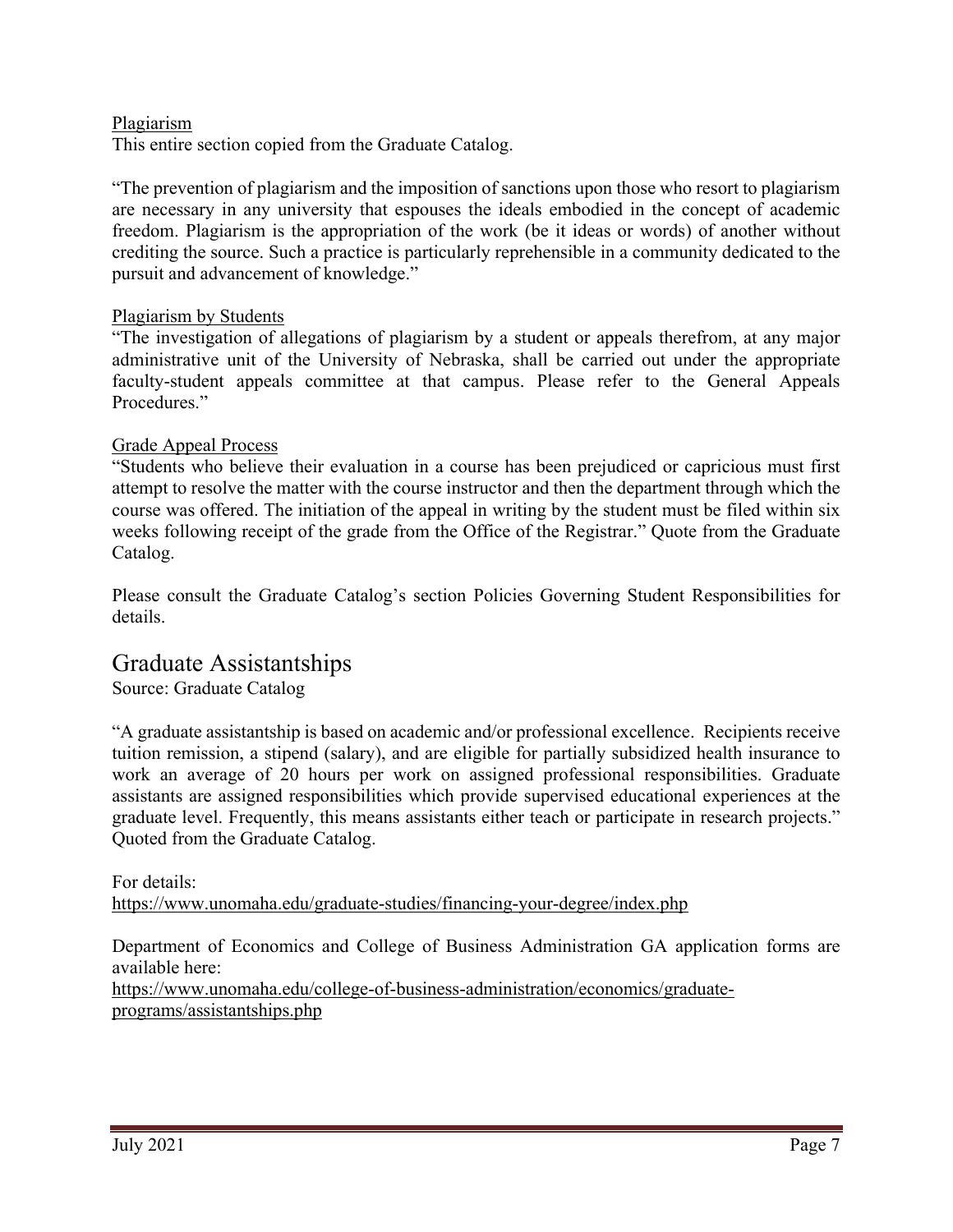### Plagiarism

This entire section copied from the Graduate Catalog.

"The prevention of plagiarism and the imposition of sanctions upon those who resort to plagiarism are necessary in any university that espouses the ideals embodied in the concept of academic freedom. Plagiarism is the appropriation of the work (be it ideas or words) of another without crediting the source. Such a practice is particularly reprehensible in a community dedicated to the pursuit and advancement of knowledge."

#### Plagiarism by Students

"The investigation of allegations of plagiarism by a student or appeals therefrom, at any major administrative unit of the University of Nebraska, shall be carried out under the appropriate faculty-student appeals committee at that campus. Please refer to the General Appeals Procedures."

#### Grade Appeal Process

"Students who believe their evaluation in a course has been prejudiced or capricious must first attempt to resolve the matter with the course instructor and then the department through which the course was offered. The initiation of the appeal in writing by the student must be filed within six weeks following receipt of the grade from the Office of the Registrar." Quote from the Graduate Catalog.

Please consult the Graduate Catalog's section Policies Governing Student Responsibilities for details.

## Graduate Assistantships

Source: Graduate Catalog

"A graduate assistantship is based on academic and/or professional excellence. Recipients receive tuition remission, a stipend (salary), and are eligible for partially subsidized health insurance to work an average of 20 hours per work on assigned professional responsibilities. Graduate assistants are assigned responsibilities which provide supervised educational experiences at the graduate level. Frequently, this means assistants either teach or participate in research projects." Quoted from the Graduate Catalog.

For details: <https://www.unomaha.edu/graduate-studies/financing-your-degree/index.php>

Department of Economics and College of Business Administration GA application forms are available here:

[https://www.unomaha.edu/college-of-business-administration/economics/graduate](https://www.unomaha.edu/college-of-business-administration/economics/graduate-programs/assistantships.php)[programs/assistantships.php](https://www.unomaha.edu/college-of-business-administration/economics/graduate-programs/assistantships.php)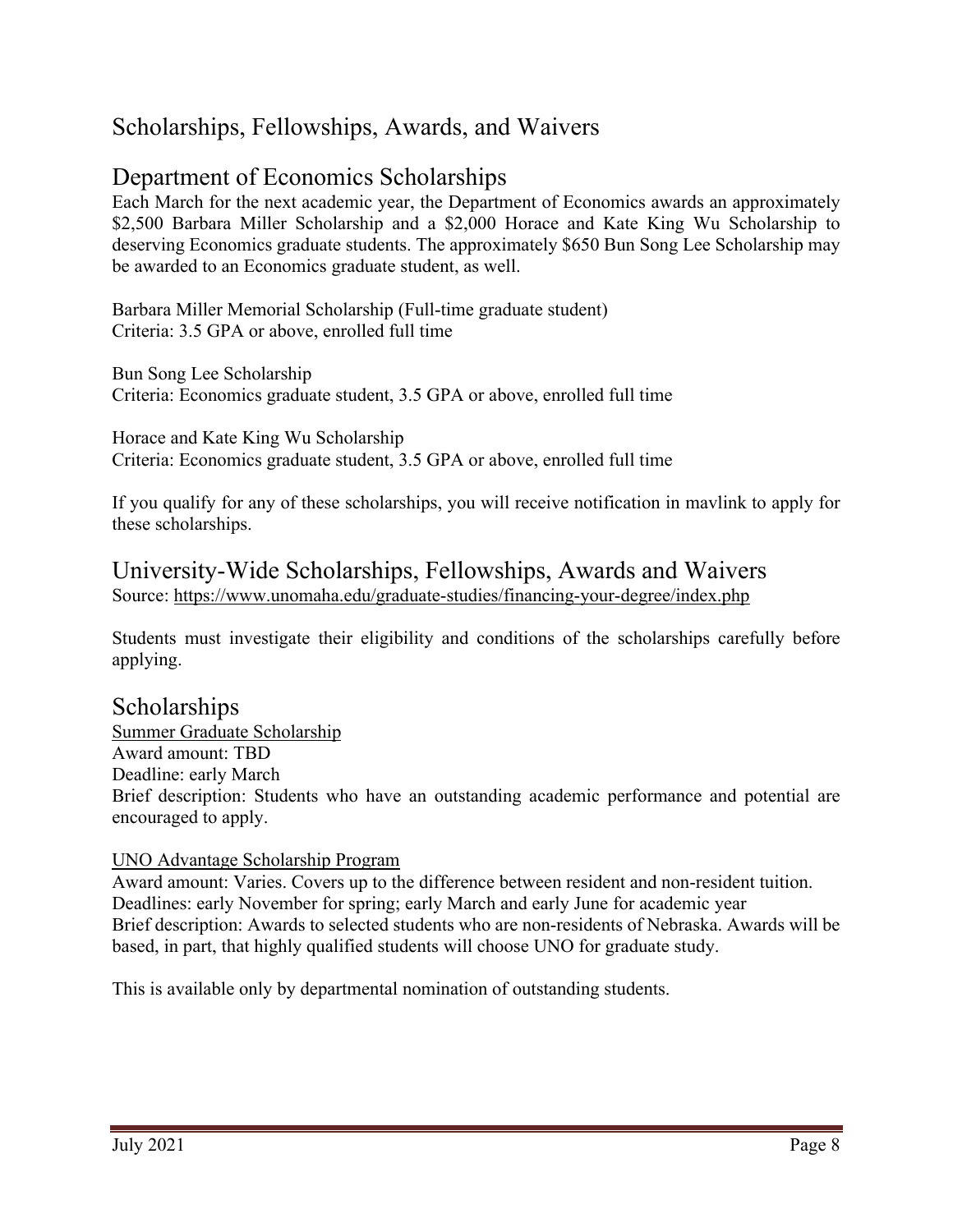## Scholarships, Fellowships, Awards, and Waivers

## Department of Economics Scholarships

Each March for the next academic year, the Department of Economics awards an approximately \$2,500 Barbara Miller Scholarship and a \$2,000 Horace and Kate King Wu Scholarship to deserving Economics graduate students. The approximately \$650 Bun Song Lee Scholarship may be awarded to an Economics graduate student, as well.

Barbara Miller Memorial Scholarship (Full-time graduate student) Criteria: 3.5 GPA or above, enrolled full time

Bun Song Lee Scholarship Criteria: Economics graduate student, 3.5 GPA or above, enrolled full time

Horace and Kate King Wu Scholarship Criteria: Economics graduate student, 3.5 GPA or above, enrolled full time

If you qualify for any of these scholarships, you will receive notification in mavlink to apply for these scholarships.

## University-Wide Scholarships, Fellowships, Awards and Waivers Source:<https://www.unomaha.edu/graduate-studies/financing-your-degree/index.php>

Students must investigate their eligibility and conditions of the scholarships carefully before applying.

## Scholarships

Summer Graduate Scholarship Award amount: TBD Deadline: early March Brief description: Students who have an outstanding academic performance and potential are encouraged to apply.

### UNO Advantage Scholarship Program

Award amount: Varies. Covers up to the difference between resident and non-resident tuition. Deadlines: early November for spring; early March and early June for academic year Brief description: Awards to selected students who are non-residents of Nebraska. Awards will be based, in part, that highly qualified students will choose UNO for graduate study.

This is available only by departmental nomination of outstanding students.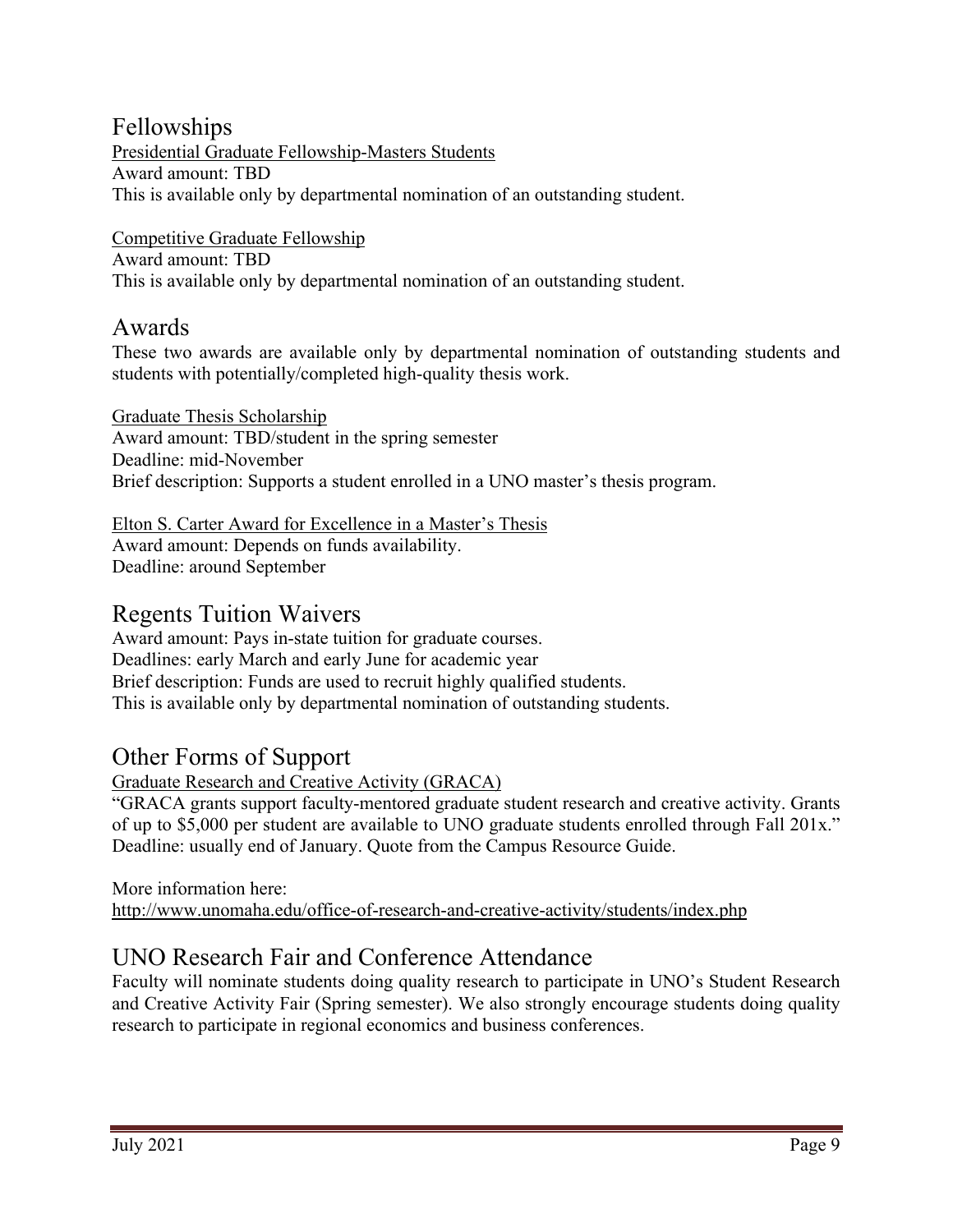## Fellowships

Presidential Graduate Fellowship-Masters Students Award amount: TBD This is available only by departmental nomination of an outstanding student.

Competitive Graduate Fellowship Award amount: TBD This is available only by departmental nomination of an outstanding student.

## Awards

These two awards are available only by departmental nomination of outstanding students and students with potentially/completed high-quality thesis work.

Graduate Thesis Scholarship Award amount: TBD/student in the spring semester Deadline: mid-November Brief description: Supports a student enrolled in a UNO master's thesis program.

Elton S. Carter Award for Excellence in a Master's Thesis Award amount: Depends on funds availability. Deadline: around September

## Regents Tuition Waivers

Award amount: Pays in-state tuition for graduate courses. Deadlines: early March and early June for academic year Brief description: Funds are used to recruit highly qualified students. This is available only by departmental nomination of outstanding students.

## Other Forms of Support

Graduate Research and Creative Activity (GRACA)

"GRACA grants support faculty-mentored graduate student research and creative activity. Grants of up to \$5,000 per student are available to UNO graduate students enrolled through Fall 201x." Deadline: usually end of January. Quote from the Campus Resource Guide.

More information here: <http://www.unomaha.edu/office-of-research-and-creative-activity/students/index.php>

## UNO Research Fair and Conference Attendance

Faculty will nominate students doing quality research to participate in UNO's Student Research and Creative Activity Fair (Spring semester). We also strongly encourage students doing quality research to participate in regional economics and business conferences.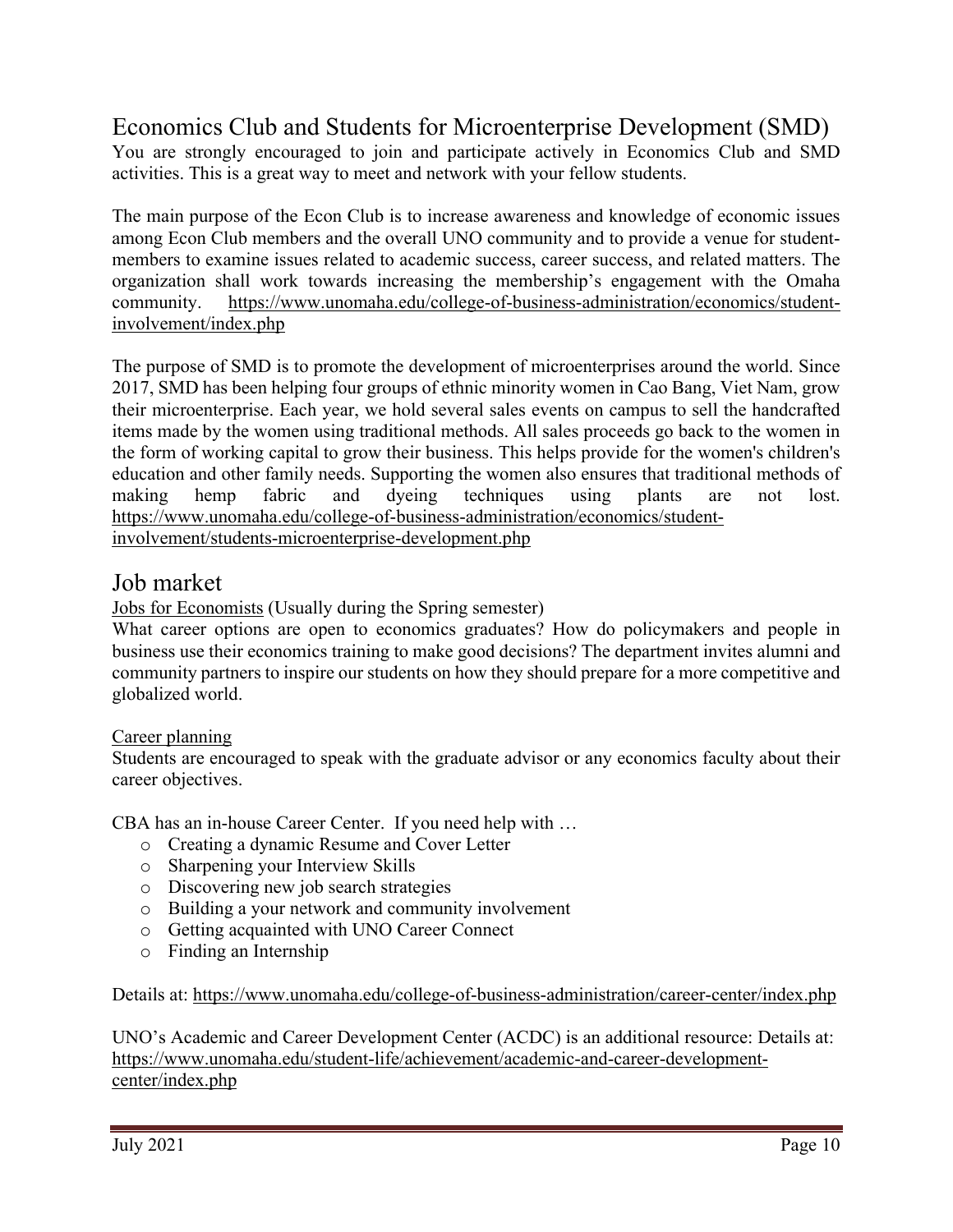## Economics Club and Students for Microenterprise Development (SMD)

You are strongly encouraged to join and participate actively in Economics Club and SMD activities. This is a great way to meet and network with your fellow students.

The main purpose of the Econ Club is to increase awareness and knowledge of economic issues among Econ Club members and the overall UNO community and to provide a venue for studentmembers to examine issues related to academic success, career success, and related matters. The organization shall work towards increasing the membership's engagement with the Omaha community. [https://www.unomaha.edu/college-of-business-administration/economics/student](https://www.unomaha.edu/college-of-business-administration/economics/student-involvement/index.php)[involvement/index.php](https://www.unomaha.edu/college-of-business-administration/economics/student-involvement/index.php)

The purpose of SMD is to promote the development of microenterprises around the world. Since 2017, SMD has been helping four groups of ethnic minority women in Cao Bang, Viet Nam, grow their microenterprise. Each year, we hold several sales events on campus to sell the handcrafted items made by the women using traditional methods. All sales proceeds go back to the women in the form of working capital to grow their business. This helps provide for the women's children's education and other family needs. Supporting the women also ensures that traditional methods of making hemp fabric and dyeing techniques using plants are not lost. [https://www.unomaha.edu/college-of-business-administration/economics/student](https://www.unomaha.edu/college-of-business-administration/economics/student-involvement/students-microenterprise-development.php)[involvement/students-microenterprise-development.php](https://www.unomaha.edu/college-of-business-administration/economics/student-involvement/students-microenterprise-development.php)

## Job market

Jobs for Economists (Usually during the Spring semester)

What career options are open to economics graduates? How do policymakers and people in business use their economics training to make good decisions? The department invites alumni and community partners to inspire our students on how they should prepare for a more competitive and globalized world.

## Career planning

Students are encouraged to speak with the graduate advisor or any economics faculty about their career objectives.

CBA has an in-house Career Center. If you need help with …

- o Creating a dynamic Resume and Cover Letter
- o Sharpening your Interview Skills
- o Discovering new job search strategies
- o Building a your network and community involvement
- o Getting acquainted with UNO Career Connect
- o Finding an Internship

Details at:<https://www.unomaha.edu/college-of-business-administration/career-center/index.php>

UNO's Academic and Career Development Center (ACDC) is an additional resource: Details at: [https://www.unomaha.edu/student-life/achievement/academic-and-career-development](https://www.unomaha.edu/student-life/achievement/academic-and-career-development-center/index.php)[center/index.php](https://www.unomaha.edu/student-life/achievement/academic-and-career-development-center/index.php)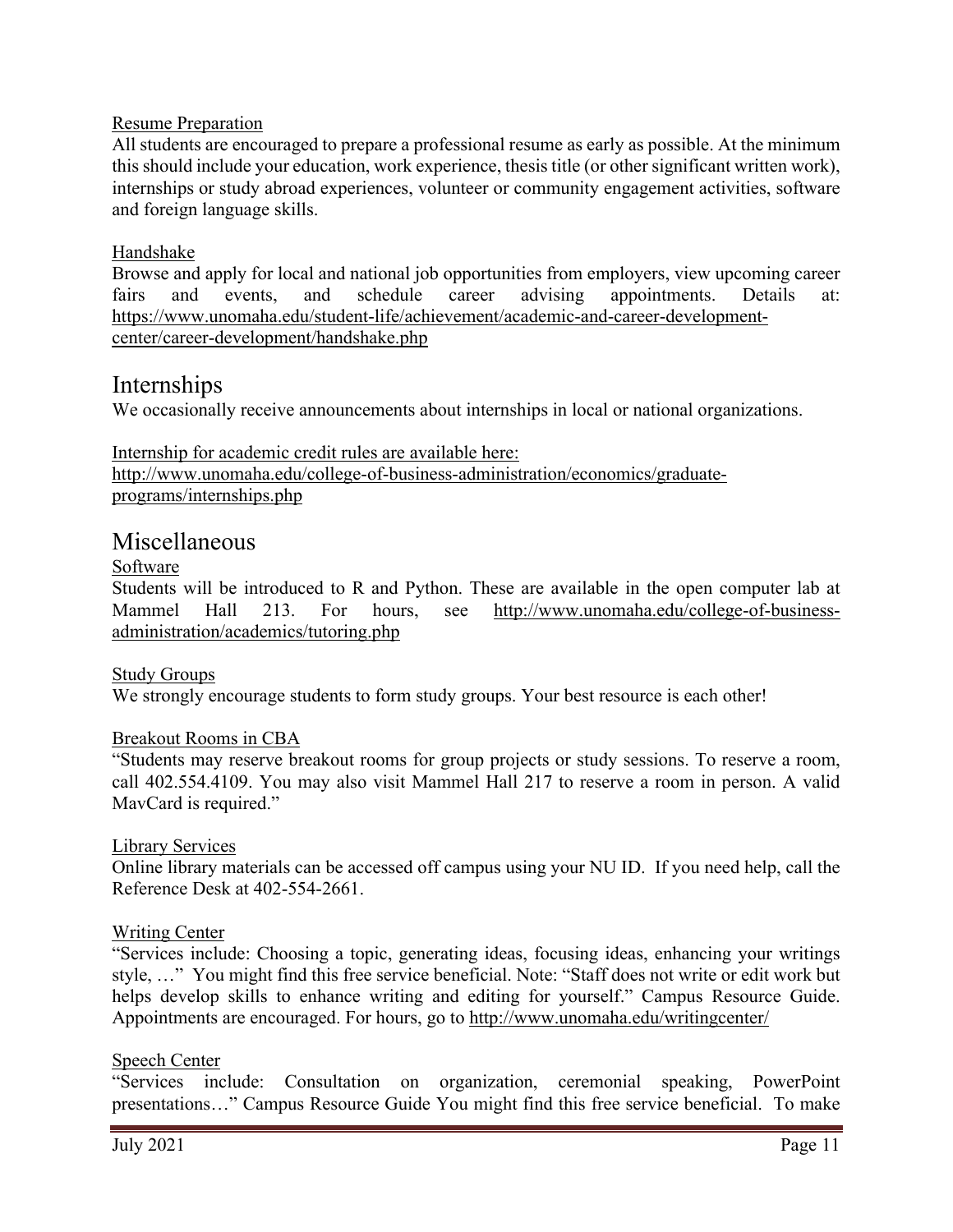### Resume Preparation

All students are encouraged to prepare a professional resume as early as possible. At the minimum this should include your education, work experience, thesis title (or other significant written work), internships or study abroad experiences, volunteer or community engagement activities, software and foreign language skills.

#### Handshake

Browse and apply for local and national job opportunities from employers, view upcoming career fairs and events, and schedule career advising appointments. Details at: [https://www.unomaha.edu/student-life/achievement/academic-and-career-development](https://www.unomaha.edu/student-life/achievement/academic-and-career-development-center/career-development/handshake.php)[center/career-development/handshake.php](https://www.unomaha.edu/student-life/achievement/academic-and-career-development-center/career-development/handshake.php)

## Internships

We occasionally receive announcements about internships in local or national organizations.

Internship for academic credit rules are available here: [http://www.unomaha.edu/college-of-business-administration/economics/graduate](http://www.unomaha.edu/college-of-business-administration/economics/graduate-programs/internships.php)[programs/internships.php](http://www.unomaha.edu/college-of-business-administration/economics/graduate-programs/internships.php)

### Miscellaneous

#### Software

Students will be introduced to R and Python. These are available in the open computer lab at Mammel Hall 213. For hours, see [http://www.unomaha.edu/college-of-business](http://www.unomaha.edu/college-of-business-administration/academics/tutoring.php)[administration/academics/tutoring.php](http://www.unomaha.edu/college-of-business-administration/academics/tutoring.php)

#### Study Groups

We strongly encourage students to form study groups. Your best resource is each other!

#### Breakout Rooms in CBA

"Students may reserve breakout rooms for group projects or study sessions. To reserve a room, call 402.554.4109. You may also visit Mammel Hall 217 to reserve a room in person. A valid MavCard is required."

#### Library Services

Online library materials can be accessed off campus using your NU ID. If you need help, call the Reference Desk at 402-554-2661.

#### Writing Center

"Services include: Choosing a topic, generating ideas, focusing ideas, enhancing your writings style, …" You might find this free service beneficial. Note: "Staff does not write or edit work but helps develop skills to enhance writing and editing for yourself." Campus Resource Guide. Appointments are encouraged. For hours, go to<http://www.unomaha.edu/writingcenter/>

#### Speech Center

"Services include: Consultation on organization, ceremonial speaking, PowerPoint presentations…" Campus Resource Guide You might find this free service beneficial. To make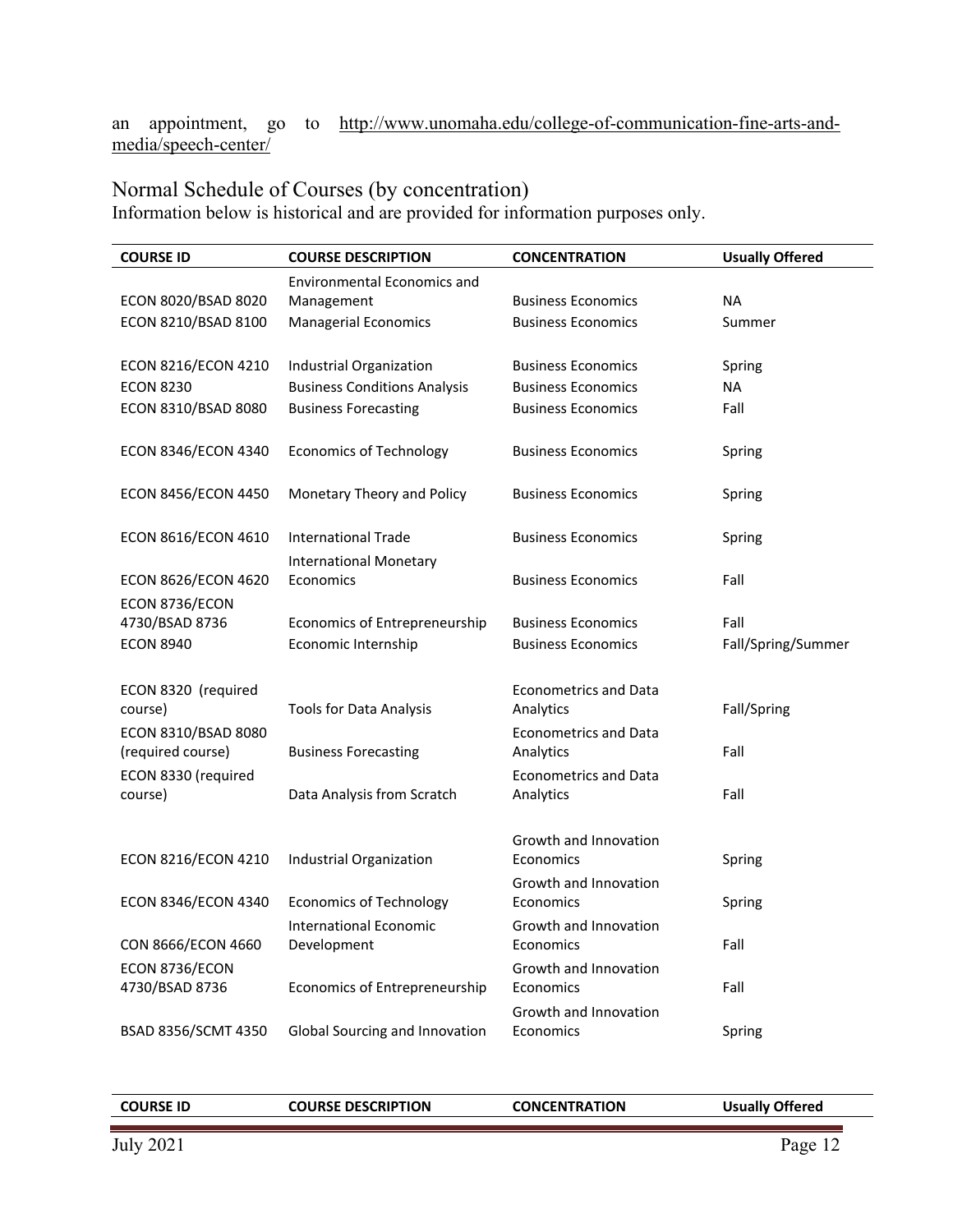an appointment, go to [http://www.unomaha.edu/college-of-communication-fine-arts-and](http://www.unomaha.edu/college-of-communication-fine-arts-and-media/speech-center/)[media/speech-center/](http://www.unomaha.edu/college-of-communication-fine-arts-and-media/speech-center/)

## Normal Schedule of Courses (by concentration)

Information below is historical and are provided for information purposes only.

| <b>COURSE ID</b>               | <b>COURSE DESCRIPTION</b>            | <b>CONCENTRATION</b>                      | <b>Usually Offered</b> |
|--------------------------------|--------------------------------------|-------------------------------------------|------------------------|
|                                | <b>Environmental Economics and</b>   |                                           |                        |
| ECON 8020/BSAD 8020            | Management                           | <b>Business Economics</b>                 | <b>NA</b>              |
| ECON 8210/BSAD 8100            | <b>Managerial Economics</b>          | <b>Business Economics</b>                 | Summer                 |
|                                |                                      |                                           |                        |
| ECON 8216/ECON 4210            | Industrial Organization              | <b>Business Economics</b>                 | Spring                 |
| <b>ECON 8230</b>               | <b>Business Conditions Analysis</b>  | <b>Business Economics</b>                 | <b>NA</b>              |
| ECON 8310/BSAD 8080            | <b>Business Forecasting</b>          | <b>Business Economics</b>                 | Fall                   |
| ECON 8346/ECON 4340            | <b>Economics of Technology</b>       | <b>Business Economics</b>                 | Spring                 |
| ECON 8456/ECON 4450            | Monetary Theory and Policy           | <b>Business Economics</b>                 | Spring                 |
| ECON 8616/ECON 4610            | <b>International Trade</b>           | <b>Business Economics</b>                 | Spring                 |
|                                | <b>International Monetary</b>        |                                           |                        |
| ECON 8626/ECON 4620            | Economics                            | <b>Business Economics</b>                 | Fall                   |
| ECON 8736/ECON                 |                                      |                                           |                        |
| 4730/BSAD 8736                 | <b>Economics of Entrepreneurship</b> | <b>Business Economics</b>                 | Fall                   |
| <b>ECON 8940</b>               | Economic Internship                  | <b>Business Economics</b>                 | Fall/Spring/Summer     |
|                                |                                      |                                           |                        |
| ECON 8320 (required            |                                      | <b>Econometrics and Data</b>              |                        |
| course)                        | <b>Tools for Data Analysis</b>       | Analytics                                 | Fall/Spring            |
| ECON 8310/BSAD 8080            |                                      | Econometrics and Data                     |                        |
| (required course)              | <b>Business Forecasting</b>          | Analytics                                 | Fall                   |
| ECON 8330 (required<br>course) | Data Analysis from Scratch           | <b>Econometrics and Data</b><br>Analytics | Fall                   |
|                                |                                      |                                           |                        |
|                                |                                      | Growth and Innovation                     |                        |
| ECON 8216/ECON 4210            | Industrial Organization              | Economics                                 | Spring                 |
|                                |                                      | Growth and Innovation                     |                        |
| ECON 8346/ECON 4340            | <b>Economics of Technology</b>       | Economics                                 | Spring                 |
|                                | International Economic               | Growth and Innovation                     |                        |
| CON 8666/ECON 4660             | Development                          | Economics                                 | Fall                   |
| ECON 8736/ECON                 |                                      | Growth and Innovation                     |                        |
| 4730/BSAD 8736                 | <b>Economics of Entrepreneurship</b> | Economics                                 | Fall                   |
|                                |                                      | Growth and Innovation                     |                        |
| BSAD 8356/SCMT 4350            | Global Sourcing and Innovation       | Economics                                 | Spring                 |

|--|

**COURSE ID COURSE DESCRIPTION CONCENTRATION Usually Offered**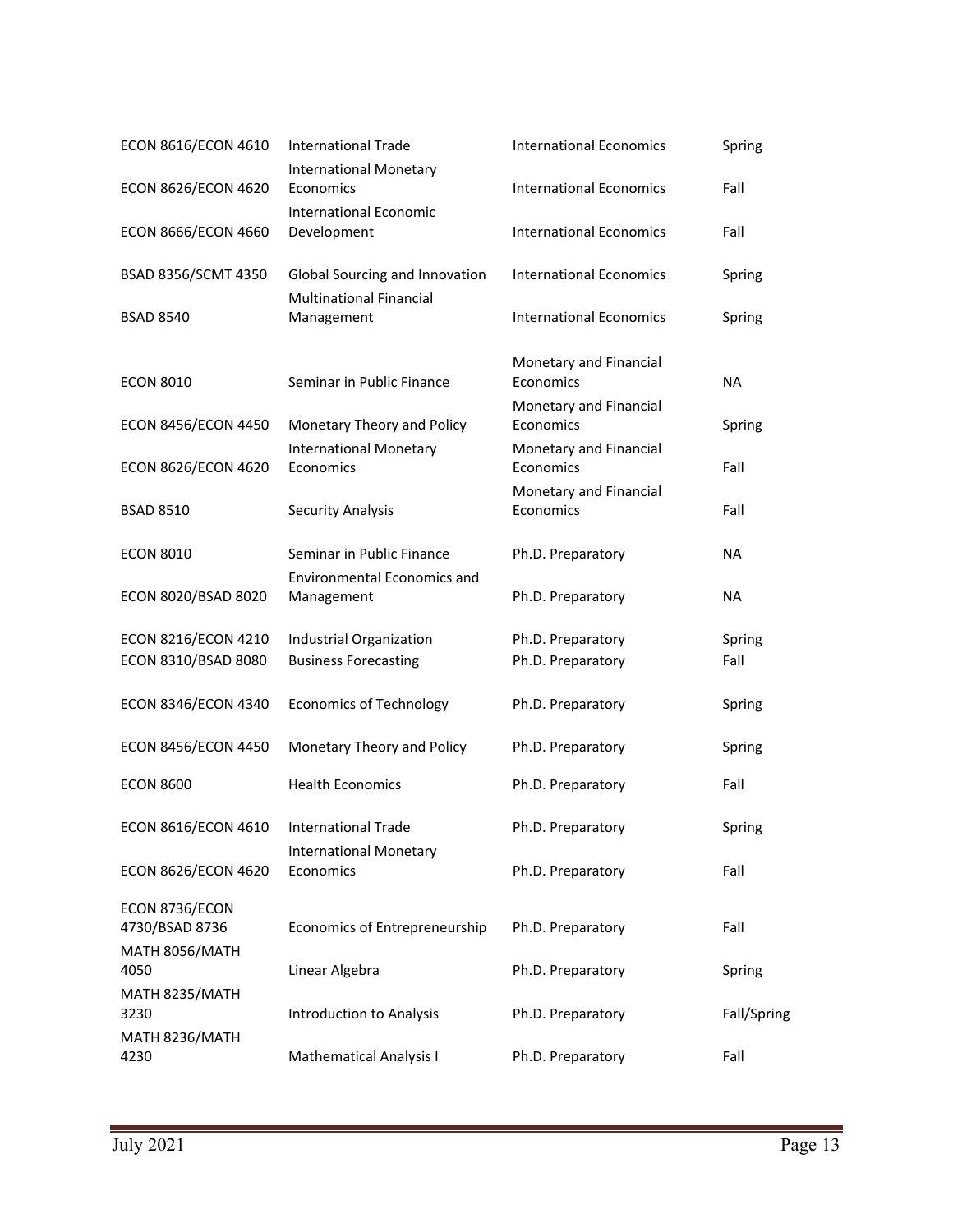| ECON 8616/ECON 4610              | <b>International Trade</b>                   | <b>International Economics</b>      | Spring      |
|----------------------------------|----------------------------------------------|-------------------------------------|-------------|
| ECON 8626/ECON 4620              | <b>International Monetary</b><br>Economics   | <b>International Economics</b>      | Fall        |
| <b>ECON 8666/ECON 4660</b>       | <b>International Economic</b><br>Development | <b>International Economics</b>      | Fall        |
| BSAD 8356/SCMT 4350              | Global Sourcing and Innovation               | <b>International Economics</b>      | Spring      |
| <b>BSAD 8540</b>                 | <b>Multinational Financial</b><br>Management | <b>International Economics</b>      | Spring      |
| <b>ECON 8010</b>                 | Seminar in Public Finance                    | Monetary and Financial<br>Economics | <b>NA</b>   |
| <b>ECON 8456/ECON 4450</b>       | Monetary Theory and Policy                   | Monetary and Financial<br>Economics | Spring      |
| ECON 8626/ECON 4620              | <b>International Monetary</b><br>Economics   | Monetary and Financial<br>Economics | Fall        |
| <b>BSAD 8510</b>                 | <b>Security Analysis</b>                     | Monetary and Financial<br>Economics | Fall        |
| <b>ECON 8010</b>                 | Seminar in Public Finance                    | Ph.D. Preparatory                   | NA          |
| ECON 8020/BSAD 8020              | Environmental Economics and<br>Management    | Ph.D. Preparatory                   | <b>NA</b>   |
| ECON 8216/ECON 4210              | Industrial Organization                      | Ph.D. Preparatory                   | Spring      |
| ECON 8310/BSAD 8080              | <b>Business Forecasting</b>                  | Ph.D. Preparatory                   | Fall        |
| ECON 8346/ECON 4340              | <b>Economics of Technology</b>               | Ph.D. Preparatory                   | Spring      |
| <b>ECON 8456/ECON 4450</b>       | Monetary Theory and Policy                   | Ph.D. Preparatory                   | Spring      |
| <b>ECON 8600</b>                 | <b>Health Economics</b>                      | Ph.D. Preparatory                   | Fall        |
| ECON 8616/ECON 4610              | International Trade                          | Ph.D. Preparatory                   | Spring      |
| ECON 8626/ECON 4620              | <b>International Monetary</b><br>Economics   | Ph.D. Preparatory                   | Fall        |
| ECON 8736/ECON<br>4730/BSAD 8736 | Economics of Entrepreneurship                | Ph.D. Preparatory                   | Fall        |
| MATH 8056/MATH<br>4050           | Linear Algebra                               | Ph.D. Preparatory                   | Spring      |
| MATH 8235/MATH<br>3230           | <b>Introduction to Analysis</b>              | Ph.D. Preparatory                   | Fall/Spring |
| MATH 8236/MATH<br>4230           | <b>Mathematical Analysis I</b>               | Ph.D. Preparatory                   | Fall        |